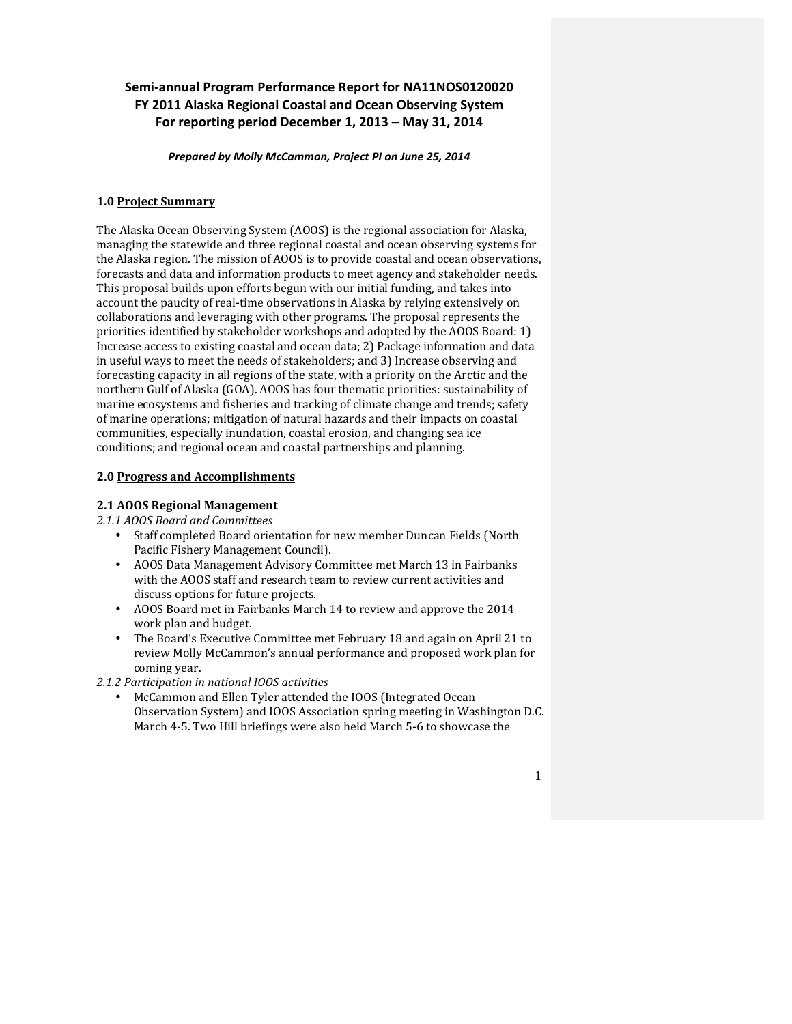# Semi-annual Program Performance Report for NA11NOS0120020 **FY 2011 Alaska Regional Coastal and Ocean Observing System** For reporting period December 1, 2013 - May 31, 2014

Prepared by Molly McCammon, Project PI on June 25, 2014

#### **1.0 Project Summary**

The Alaska Ocean Observing System (AOOS) is the regional association for Alaska, managing the statewide and three regional coastal and ocean observing systems for the Alaska region. The mission of AOOS is to provide coastal and ocean observations, forecasts and data and information products to meet agency and stakeholder needs. This proposal builds upon efforts begun with our initial funding, and takes into account the paucity of real-time observations in Alaska by relying extensively on collaborations and leveraging with other programs. The proposal represents the priorities identified by stakeholder workshops and adopted by the AOOS Board:  $1$ ) Increase access to existing coastal and ocean data; 2) Package information and data in useful ways to meet the needs of stakeholders; and 3) Increase observing and forecasting capacity in all regions of the state, with a priority on the Arctic and the northern Gulf of Alaska (GOA). AOOS has four thematic priorities: sustainability of marine ecosystems and fisheries and tracking of climate change and trends; safety of marine operations; mitigation of natural hazards and their impacts on coastal communities, especially inundation, coastal erosion, and changing sea ice conditions; and regional ocean and coastal partnerships and planning.

### **2.0 Progress and Accomplishments**

### **2.1 AOOS Regional Management**

*2.1.1 AOOS Board and Committees*

- Staff completed Board orientation for new member Duncan Fields (North Pacific Fishery Management Council).
- AOOS Data Management Advisory Committee met March 13 in Fairbanks with the AOOS staff and research team to review current activities and discuss options for future projects.
- AOOS Board met in Fairbanks March 14 to review and approve the 2014 work plan and budget.
- The Board's Executive Committee met February 18 and again on April 21 to review Molly McCammon's annual performance and proposed work plan for coming year.

*2.1.2 Participation in national IOOS activities*

McCammon and Ellen Tyler attended the IOOS (Integrated Ocean Observation System) and IOOS Association spring meeting in Washington D.C. March 4-5. Two Hill briefings were also held March 5-6 to showcase the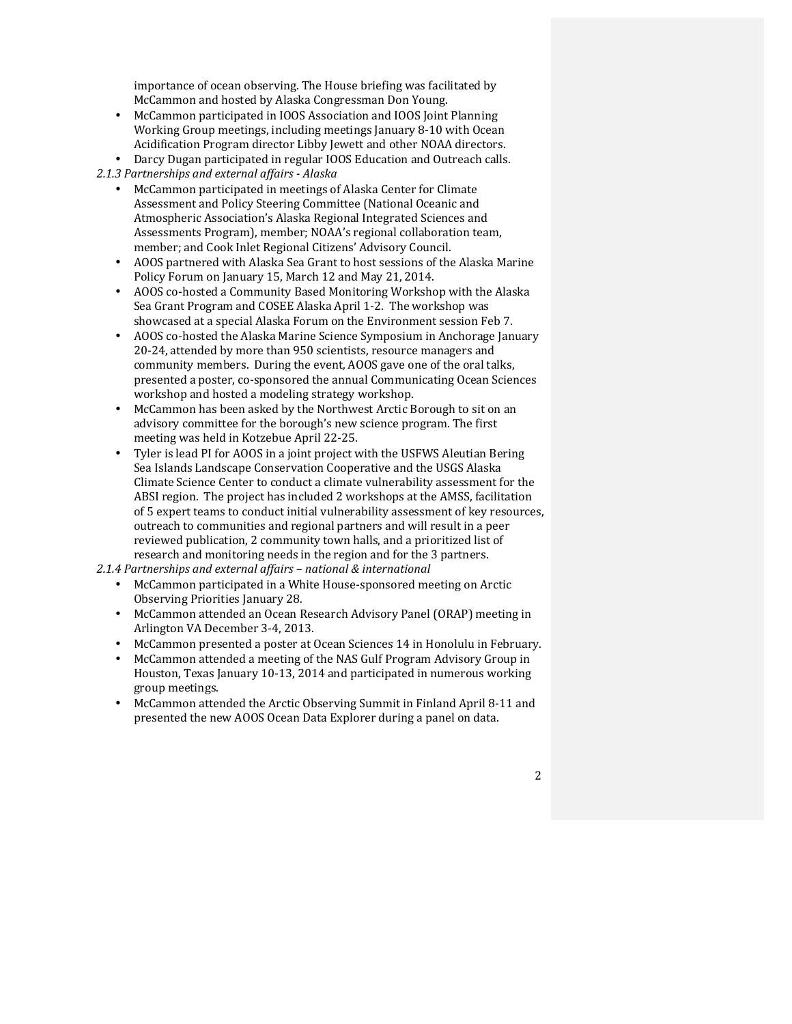importance of ocean observing. The House briefing was facilitated by McCammon and hosted by Alaska Congressman Don Young.

- McCammon participated in IOOS Association and IOOS Joint Planning Working Group meetings, including meetings January 8-10 with Ocean Acidification Program director Libby Jewett and other NOAA directors.
- Darcy Dugan participated in regular IOOS Education and Outreach calls.

*2.1.3 Partnerships and external affairs - Alaska*

- McCammon participated in meetings of Alaska Center for Climate Assessment and Policy Steering Committee (National Oceanic and Atmospheric Association's Alaska Regional Integrated Sciences and Assessments Program), member; NOAA's regional collaboration team, member; and Cook Inlet Regional Citizens' Advisory Council.
- AOOS partnered with Alaska Sea Grant to host sessions of the Alaska Marine Policy Forum on January 15, March 12 and May 21, 2014.
- AOOS co-hosted a Community Based Monitoring Workshop with the Alaska Sea Grant Program and COSEE Alaska April 1-2. The workshop was showcased at a special Alaska Forum on the Environment session Feb 7.
- AOOS co-hosted the Alaska Marine Science Symposium in Anchorage January 20-24, attended by more than 950 scientists, resource managers and community members. During the event, AOOS gave one of the oral talks, presented a poster, co-sponsored the annual Communicating Ocean Sciences workshop and hosted a modeling strategy workshop.
- McCammon has been asked by the Northwest Arctic Borough to sit on an advisory committee for the borough's new science program. The first meeting was held in Kotzebue April 22-25.
- Tyler is lead PI for AOOS in a joint project with the USFWS Aleutian Bering Sea Islands Landscape Conservation Cooperative and the USGS Alaska Climate Science Center to conduct a climate vulnerability assessment for the ABSI region. The project has included 2 workshops at the AMSS, facilitation of 5 expert teams to conduct initial vulnerability assessment of key resources, outreach to communities and regional partners and will result in a peer reviewed publication, 2 community town halls, and a prioritized list of research and monitoring needs in the region and for the 3 partners.

*2.1.4 Partnerships and external affairs – national & international*

- McCammon participated in a White House-sponsored meeting on Arctic Observing Priorities January 28.
- McCammon attended an Ocean Research Advisory Panel (ORAP) meeting in Arlington VA December 3-4, 2013.
- McCammon presented a poster at Ocean Sciences 14 in Honolulu in February.
- McCammon attended a meeting of the NAS Gulf Program Advisory Group in Houston, Texas January 10-13, 2014 and participated in numerous working group meetings.
- McCammon attended the Arctic Observing Summit in Finland April 8-11 and presented the new AOOS Ocean Data Explorer during a panel on data.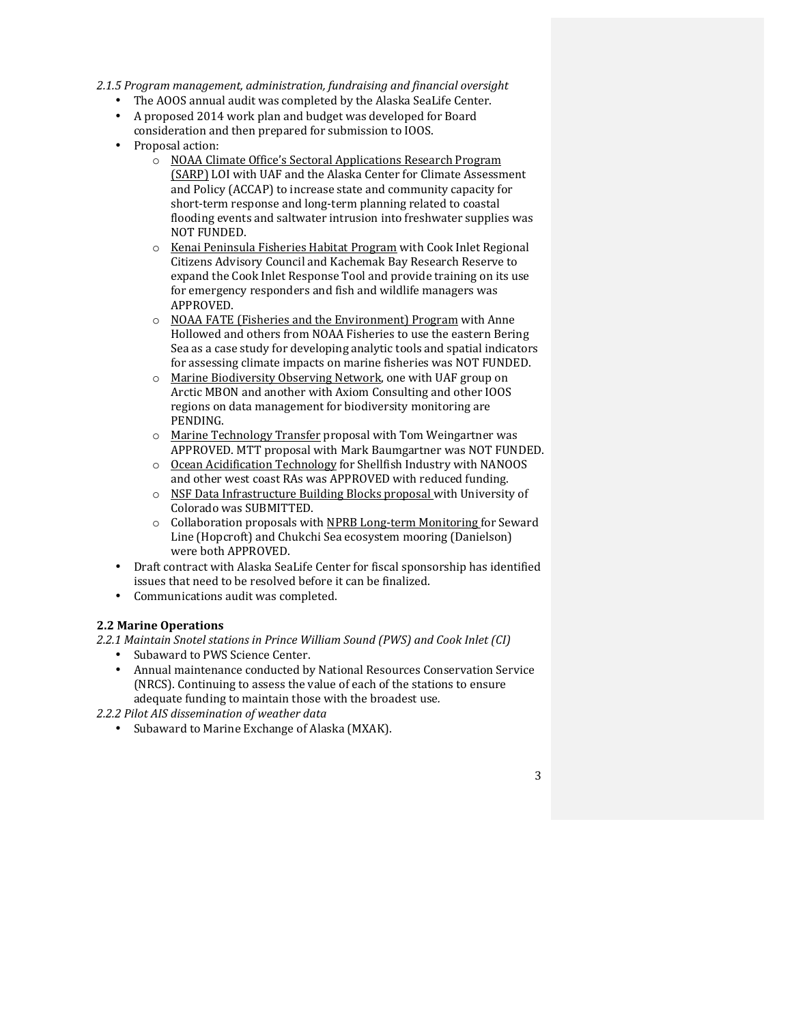#### 2.1.5 Program management, administration, fundraising and financial oversight

- The AOOS annual audit was completed by the Alaska SeaLife Center.
- A proposed 2014 work plan and budget was developed for Board
- consideration and then prepared for submission to IOOS.
- Proposal action:
	- o NOAA Climate Office's Sectoral Applications Research Program (SARP) LOI with UAF and the Alaska Center for Climate Assessment and Policy (ACCAP) to increase state and community capacity for short-term response and long-term planning related to coastal flooding events and saltwater intrusion into freshwater supplies was NOT FUNDED.
	- o Kenai Peninsula Fisheries Habitat Program with Cook Inlet Regional Citizens Advisory Council and Kachemak Bay Research Reserve to expand the Cook Inlet Response Tool and provide training on its use for emergency responders and fish and wildlife managers was APPROVED.
	- o NOAA FATE (Fisheries and the Environment) Program with Anne Hollowed and others from NOAA Fisheries to use the eastern Bering Sea as a case study for developing analytic tools and spatial indicators for assessing climate impacts on marine fisheries was NOT FUNDED.
	- o Marine Biodiversity Observing Network, one with UAF group on Arctic MBON and another with Axiom Consulting and other IOOS regions on data management for biodiversity monitoring are PENDING.
	- $\circ$  Marine Technology Transfer proposal with Tom Weingartner was APPROVED. MTT proposal with Mark Baumgartner was NOT FUNDED.
	- $\circ$  Ocean Acidification Technology for Shellfish Industry with NANOOS and other west coast RAs was APPROVED with reduced funding.
	- $\circ$  NSF Data Infrastructure Building Blocks proposal with University of Colorado was SUBMITTED.
	- $\circ$  Collaboration proposals with NPRB Long-term Monitoring for Seward Line (Hopcroft) and Chukchi Sea ecosystem mooring (Danielson) were both APPROVED.
- Draft contract with Alaska SeaLife Center for fiscal sponsorship has identified issues that need to be resolved before it can be finalized.
- Communications audit was completed.

### **2.2 Marine Operations**

*2.2.1 Maintain Snotel stations in Prince William Sound (PWS) and Cook Inlet (CI)*

- Subaward to PWS Science Center.
- Annual maintenance conducted by National Resources Conservation Service (NRCS). Continuing to assess the value of each of the stations to ensure adequate funding to maintain those with the broadest use.

*2.2.2 Pilot AIS dissemination of weather data*

• Subaward to Marine Exchange of Alaska (MXAK).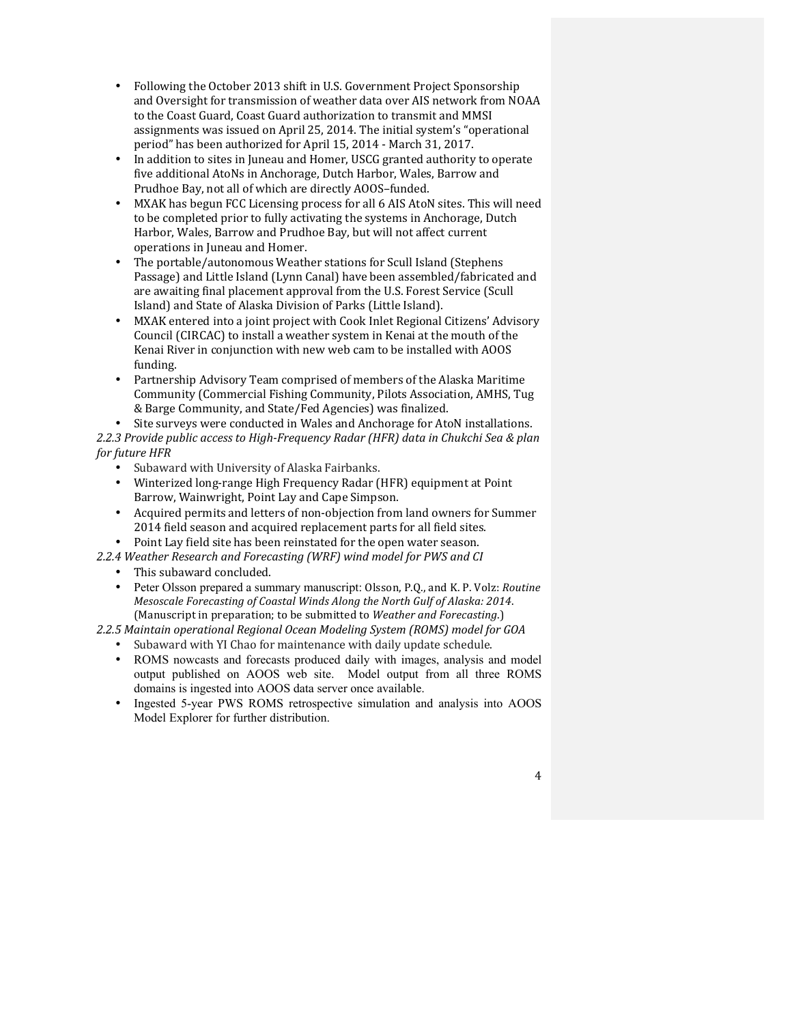- Following the October 2013 shift in U.S. Government Project Sponsorship and Oversight for transmission of weather data over AIS network from NOAA to the Coast Guard, Coast Guard authorization to transmit and MMSI assignments was issued on April 25, 2014. The initial system's "operational period" has been authorized for April 15, 2014 - March 31, 2017.
- In addition to sites in Juneau and Homer, USCG granted authority to operate five additional AtoNs in Anchorage, Dutch Harbor, Wales, Barrow and Prudhoe Bay, not all of which are directly AOOS-funded.
- MXAK has begun FCC Licensing process for all 6 AIS AtoN sites. This will need to be completed prior to fully activating the systems in Anchorage, Dutch Harbor, Wales, Barrow and Prudhoe Bay, but will not affect current operations in Juneau and Homer.
- The portable/autonomous Weather stations for Scull Island (Stephens Passage) and Little Island (Lynn Canal) have been assembled/fabricated and are awaiting final placement approval from the U.S. Forest Service (Scull Island) and State of Alaska Division of Parks (Little Island).
- MXAK entered into a joint project with Cook Inlet Regional Citizens' Advisory Council (CIRCAC) to install a weather system in Kenai at the mouth of the Kenai River in conjunction with new web cam to be installed with AOOS funding.
- Partnership Advisory Team comprised of members of the Alaska Maritime Community (Commercial Fishing Community, Pilots Association, AMHS, Tug & Barge Community, and State/Fed Agencies) was finalized.

Site surveys were conducted in Wales and Anchorage for AtoN installations. *2.2.3 Provide public access to High-Frequency Radar (HFR) data in Chukchi Sea & plan for future HFR* 

- Subaward with University of Alaska Fairbanks.
- Winterized long-range High Frequency Radar (HFR) equipment at Point Barrow, Wainwright, Point Lay and Cape Simpson.
- Acquired permits and letters of non-objection from land owners for Summer 2014 field season and acquired replacement parts for all field sites.
- Point Lay field site has been reinstated for the open water season.
- *2.2.4 Weather Research and Forecasting (WRF) wind model for PWS and CI*
	- This subaward concluded.
	- Peter Olsson prepared a summary manuscript: Olsson, P.O., and K. P. Volz: *Routine Mesoscale Forecasting of Coastal Winds Along the North Gulf of Alaska: 2014.* (Manuscript in preparation; to be submitted to *Weather and Forecasting*.)

*2.2.5 Maintain operational Regional Ocean Modeling System (ROMS) model for GOA*

- Subaward with YI Chao for maintenance with daily update schedule.
- ROMS nowcasts and forecasts produced daily with images, analysis and model output published on AOOS web site. Model output from all three ROMS domains is ingested into AOOS data server once available.
- Ingested 5-year PWS ROMS retrospective simulation and analysis into AOOS Model Explorer for further distribution.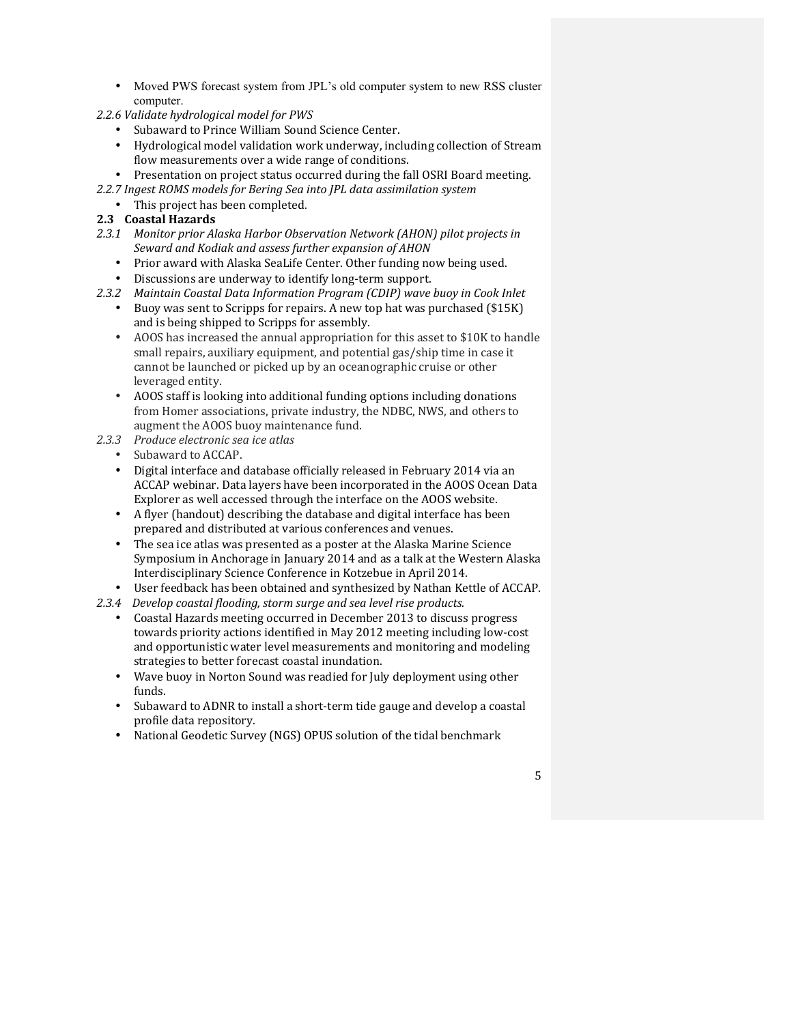- Moved PWS forecast system from JPL's old computer system to new RSS cluster computer.
- *2.2.6 Validate hydrological model for PWS*
	- Subaward to Prince William Sound Science Center.
	- Hydrological model validation work underway, including collection of Stream flow measurements over a wide range of conditions.
	- Presentation on project status occurred during the fall OSRI Board meeting.
- 2.2.7 Ingest ROMS models for Bering Sea into JPL data assimilation system
- This project has been completed.

## **2.3 Coastal Hazards**

- 2.3.1 Monitor prior Alaska Harbor Observation Network (AHON) pilot projects in Seward and Kodiak and assess further expansion of AHON
	- Prior award with Alaska SeaLife Center. Other funding now being used.
	- Discussions are underway to identify long-term support.
- *2.3.2 Maintain Coastal Data Information Program (CDIP) wave buoy in Cook Inlet*
	- Buoy was sent to Scripps for repairs. A new top hat was purchased (\$15K) and is being shipped to Scripps for assembly.
	- AOOS has increased the annual appropriation for this asset to \$10K to handle small repairs, auxiliary equipment, and potential gas/ship time in case it cannot be launched or picked up by an oceanographic cruise or other leveraged entity.
	- AOOS staff is looking into additional funding options including donations from Homer associations, private industry, the NDBC, NWS, and others to augment the AOOS buoy maintenance fund.
- *2.3.3 Produce electronic sea ice atlas*
	- Subaward to ACCAP.
	- Digital interface and database officially released in February 2014 via an ACCAP webinar. Data layers have been incorporated in the AOOS Ocean Data Explorer as well accessed through the interface on the AOOS website.
	- A flyer (handout) describing the database and digital interface has been prepared and distributed at various conferences and venues.
	- The sea ice atlas was presented as a poster at the Alaska Marine Science Symposium in Anchorage in January 2014 and as a talk at the Western Alaska Interdisciplinary Science Conference in Kotzebue in April 2014.
	- User feedback has been obtained and synthesized by Nathan Kettle of ACCAP.
- 2.3.4 Develop coastal flooding, storm surge and sea level rise products.
	- Coastal Hazards meeting occurred in December 2013 to discuss progress towards priority actions identified in May 2012 meeting including low-cost and opportunistic water level measurements and monitoring and modeling strategies to better forecast coastal inundation.
	- Wave buoy in Norton Sound was readied for July deployment using other funds.
	- Subaward to ADNR to install a short-term tide gauge and develop a coastal profile data repository.
	- National Geodetic Survey (NGS) OPUS solution of the tidal benchmark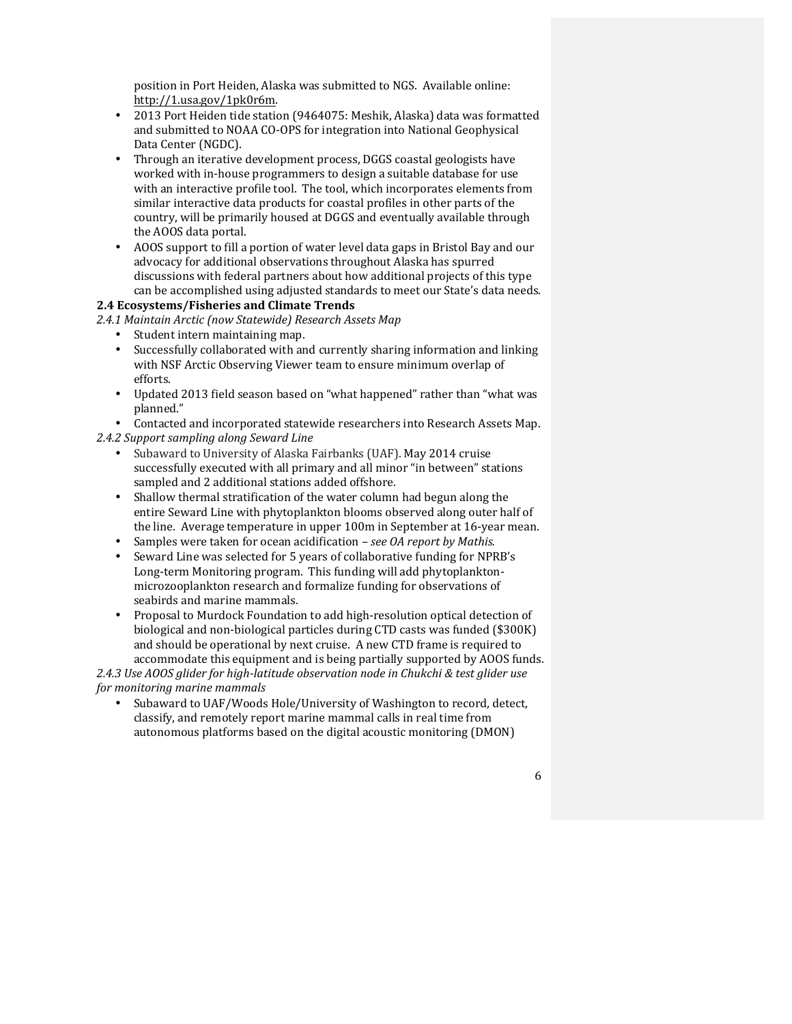position in Port Heiden, Alaska was submitted to NGS. Available online: http://1.usa.gov/1pk0r6m.

- 2013 Port Heiden tide station (9464075: Meshik, Alaska) data was formatted and submitted to NOAA CO-OPS for integration into National Geophysical Data Center (NGDC).
- Through an iterative development process, DGGS coastal geologists have worked with in-house programmers to design a suitable database for use with an interactive profile tool. The tool, which incorporates elements from similar interactive data products for coastal profiles in other parts of the country, will be primarily housed at DGGS and eventually available through the AOOS data portal.
- AOOS support to fill a portion of water level data gaps in Bristol Bay and our advocacy for additional observations throughout Alaska has spurred discussions with federal partners about how additional projects of this type can be accomplished using adjusted standards to meet our State's data needs.

### **2.4 Ecosystems/Fisheries and Climate Trends**

*2.4.1 Maintain Arctic (now Statewide) Research Assets Map*

- Student intern maintaining map.
- Successfully collaborated with and currently sharing information and linking with NSF Arctic Observing Viewer team to ensure minimum overlap of efforts.
- Updated 2013 field season based on "what happened" rather than "what was planned."
- Contacted and incorporated statewide researchers into Research Assets Map. 2.4.2 Support sampling along Seward Line
	- Subaward to University of Alaska Fairbanks (UAF). May 2014 cruise successfully executed with all primary and all minor "in between" stations sampled and 2 additional stations added offshore.
	- Shallow thermal stratification of the water column had begun along the entire Seward Line with phytoplankton blooms observed along outer half of the line. Average temperature in upper 100m in September at 16-year mean.
	- Samples were taken for ocean acidification  *see OA report by Mathis.*
	- Seward Line was selected for 5 years of collaborative funding for NPRB's Long-term Monitoring program. This funding will add phytoplanktonmicrozooplankton research and formalize funding for observations of seabirds and marine mammals.
	- Proposal to Murdock Foundation to add high-resolution optical detection of biological and non-biological particles during CTD casts was funded (\$300K) and should be operational by next cruise. A new CTD frame is required to accommodate this equipment and is being partially supported by AOOS funds.

2.4.3 Use AOOS glider for high-latitude observation node in Chukchi & test glider use *for monitoring marine mammals*

Subaward to UAF/Woods Hole/University of Washington to record, detect, classify, and remotely report marine mammal calls in real time from autonomous platforms based on the digital acoustic monitoring (DMON)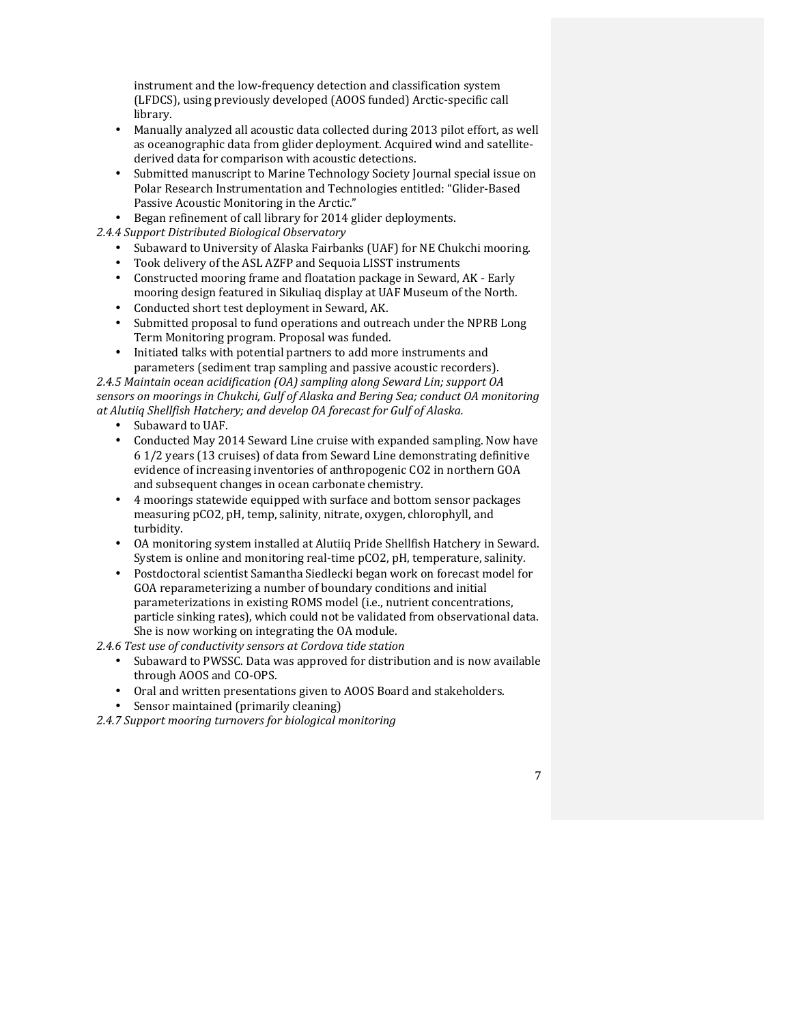instrument and the low-frequency detection and classification system (LFDCS), using previously developed (AOOS funded) Arctic-specific call library.

- Manually analyzed all acoustic data collected during 2013 pilot effort, as well as oceanographic data from glider deployment. Acquired wind and satellitederived data for comparison with acoustic detections.
- Submitted manuscript to Marine Technology Society Journal special issue on Polar Research Instrumentation and Technologies entitled: "Glider-Based Passive Acoustic Monitoring in the Arctic."
- Began refinement of call library for 2014 glider deployments.

*2.4.4 Support Distributed Biological Observatory*

- Subaward to University of Alaska Fairbanks (UAF) for NE Chukchi mooring.
- Took delivery of the ASL AZFP and Sequoia LISST instruments
- Constructed mooring frame and floatation package in Seward, AK Early mooring design featured in Sikuliaq display at UAF Museum of the North.
- Conducted short test deployment in Seward, AK.<br>• Submitted proposal to fund operations and outre
- Submitted proposal to fund operations and outreach under the NPRB Long Term Monitoring program. Proposal was funded.
- Initiated talks with potential partners to add more instruments and parameters (sediment trap sampling and passive acoustic recorders).

*2.4.5 Maintain ocean acidification (OA) sampling along Seward Lin; support OA*  sensors on moorings in Chukchi, Gulf of Alaska and Bering Sea; conduct OA monitoring *at Alutiiq Shellfish Hatchery; and develop OA forecast for Gulf of Alaska.*

- Subaward to UAF.
- Conducted May 2014 Seward Line cruise with expanded sampling. Now have 6 1/2 years (13 cruises) of data from Seward Line demonstrating definitive evidence of increasing inventories of anthropogenic CO2 in northern GOA and subsequent changes in ocean carbonate chemistry.
- 4 moorings statewide equipped with surface and bottom sensor packages measuring pCO2, pH, temp, salinity, nitrate, oxygen, chlorophyll, and turbidity.
- OA monitoring system installed at Alutiiq Pride Shellfish Hatchery in Seward. System is online and monitoring real-time pCO2, pH, temperature, salinity.
- Postdoctoral scientist Samantha Siedlecki began work on forecast model for GOA reparameterizing a number of boundary conditions and initial parameterizations in existing ROMS model (i.e., nutrient concentrations, particle sinking rates), which could not be validated from observational data. She is now working on integrating the OA module.
- 2.4.6 Test use of conductivity sensors at Cordova tide station
	- Subaward to PWSSC. Data was approved for distribution and is now available through AOOS and CO-OPS.

7

- Oral and written presentations given to AOOS Board and stakeholders.
- Sensor maintained (primarily cleaning)

2.4.7 Support mooring turnovers for biological monitoring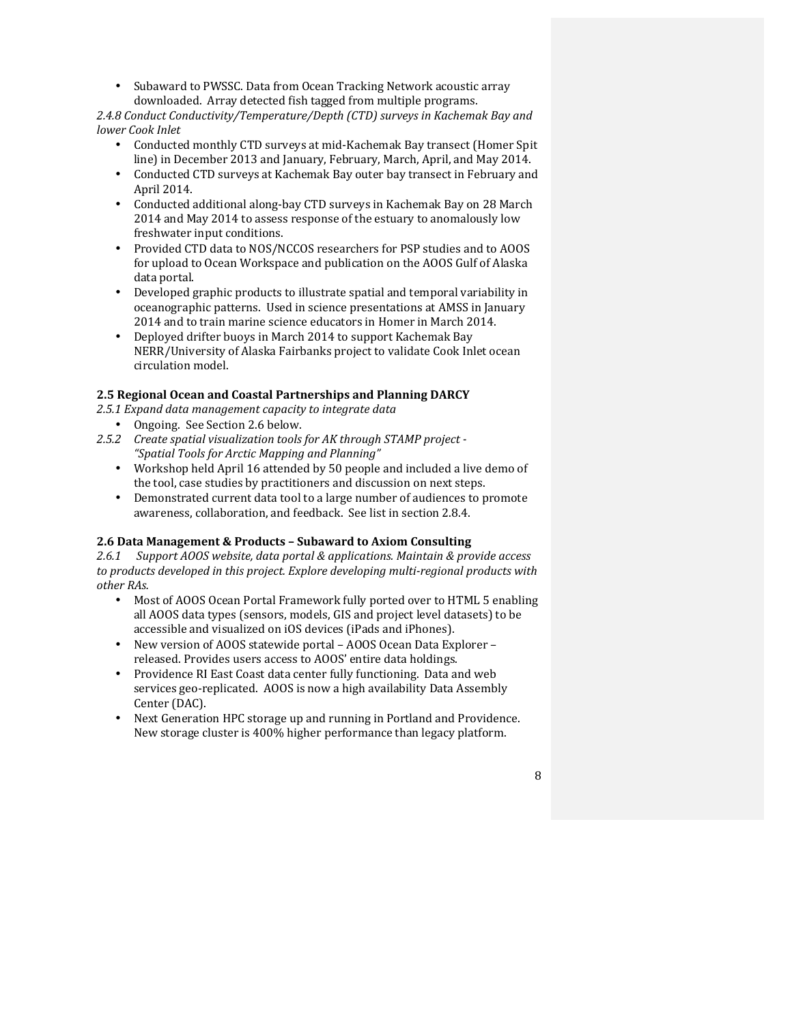• Subaward to PWSSC. Data from Ocean Tracking Network acoustic array downloaded. Array detected fish tagged from multiple programs.

2.4.8 Conduct Conductivity/Temperature/Depth (CTD) surveys in Kachemak Bay and *lower Cook Inlet*

- Conducted monthly CTD surveys at mid-Kachemak Bay transect (Homer Spit line) in December 2013 and January, February, March, April, and May 2014.
- Conducted CTD surveys at Kachemak Bay outer bay transect in February and April 2014.
- Conducted additional along-bay CTD surveys in Kachemak Bay on 28 March 2014 and May 2014 to assess response of the estuary to anomalously low freshwater input conditions.
- Provided CTD data to NOS/NCCOS researchers for PSP studies and to AOOS for upload to Ocean Workspace and publication on the AOOS Gulf of Alaska data portal.
- Developed graphic products to illustrate spatial and temporal variability in oceanographic patterns. Used in science presentations at AMSS in January 2014 and to train marine science educators in Homer in March 2014.
- Deployed drifter buoys in March 2014 to support Kachemak Bay NERR/University of Alaska Fairbanks project to validate Cook Inlet ocean circulation model.

## **2.5 Regional Ocean and Coastal Partnerships and Planning DARCY**

- *2.5.1 Expand data management capacity to integrate data*
- Ongoing. See Section 2.6 below.
- 2.5.2 Create spatial visualization tools for AK through STAMP project -*"Spatial Tools for Arctic Mapping and Planning"*
	- Workshop held April 16 attended by 50 people and included a live demo of the tool, case studies by practitioners and discussion on next steps.
	- Demonstrated current data tool to a large number of audiences to promote awareness, collaboration, and feedback. See list in section 2.8.4.

### **2.6 Data Management & Products – Subaward to Axiom Consulting**

2.6.1 Support AOOS website, data portal & applications. Maintain & provide access to products developed in this project. Explore developing multi-regional products with *other RAs.*

- Most of AOOS Ocean Portal Framework fully ported over to HTML 5 enabling all AOOS data types (sensors, models, GIS and project level datasets) to be accessible and visualized on iOS devices (iPads and iPhones).
- New version of AOOS statewide portal AOOS Ocean Data Explorer released. Provides users access to AOOS' entire data holdings.
- Providence RI East Coast data center fully functioning. Data and web services geo-replicated. AOOS is now a high availability Data Assembly Center (DAC).
- Next Generation HPC storage up and running in Portland and Providence. New storage cluster is 400% higher performance than legacy platform.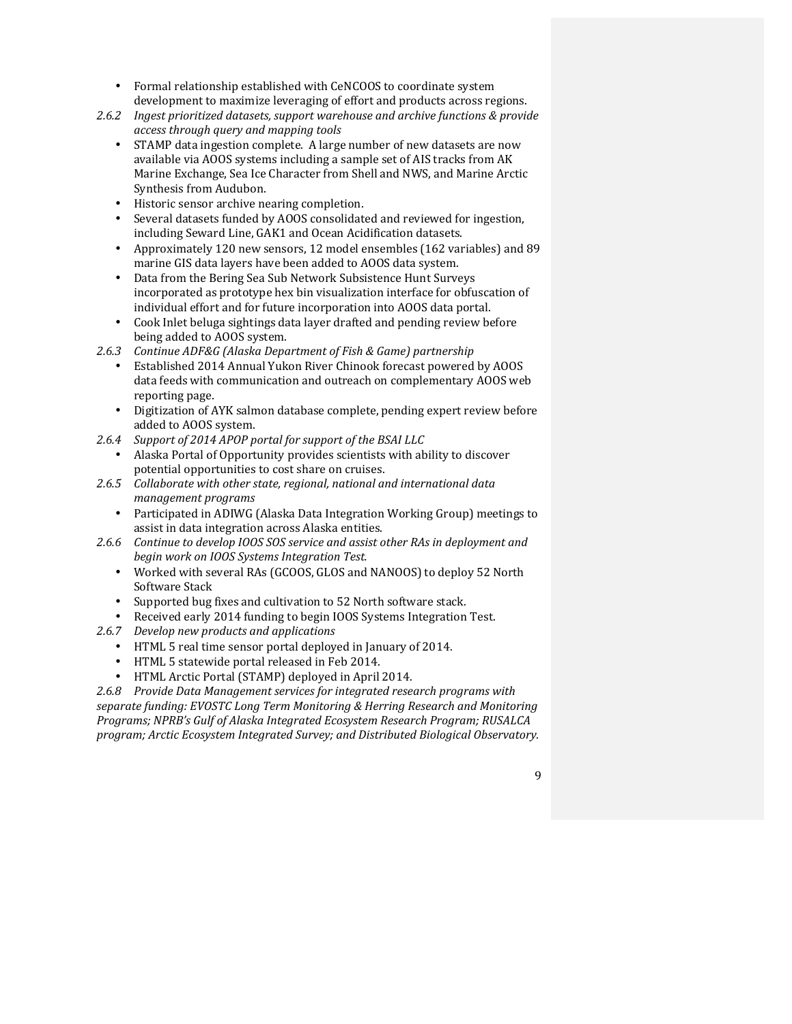- Formal relationship established with CeNCOOS to coordinate system development to maximize leveraging of effort and products across regions.
- 2.6.2 Ingest prioritized datasets, support warehouse and archive functions & provide *access through query and mapping tools*
	- STAMP data ingestion complete. A large number of new datasets are now available via AOOS systems including a sample set of AIS tracks from AK Marine Exchange, Sea Ice Character from Shell and NWS, and Marine Arctic Synthesis from Audubon.
	- Historic sensor archive nearing completion.
	- Several datasets funded by AOOS consolidated and reviewed for ingestion, including Seward Line, GAK1 and Ocean Acidification datasets.
	- Approximately 120 new sensors, 12 model ensembles (162 variables) and 89 marine GIS data layers have been added to AOOS data system.
	- Data from the Bering Sea Sub Network Subsistence Hunt Surveys incorporated as prototype hex bin visualization interface for obfuscation of individual effort and for future incorporation into AOOS data portal.
	- Cook Inlet beluga sightings data layer drafted and pending review before being added to AOOS system.
- *2.6.3 Continue ADF&G (Alaska Department of Fish & Game) partnership*
	- Established 2014 Annual Yukon River Chinook forecast powered by AOOS data feeds with communication and outreach on complementary AOOS web reporting page.
	- Digitization of AYK salmon database complete, pending expert review before added to AOOS system.
- 2.6.4 Support of 2014 APOP portal for support of the BSAI LLC
	- Alaska Portal of Opportunity provides scientists with ability to discover potential opportunities to cost share on cruises.
- 2.6.5 Collaborate with other state, regional, national and international data *management programs*
	- Participated in ADIWG (Alaska Data Integration Working Group) meetings to assist in data integration across Alaska entities.
- 2.6.6 Continue to develop IOOS SOS service and assist other RAs in deployment and *begin work on IOOS Systems Integration Test.*
	- Worked with several RAs (GCOOS, GLOS and NANOOS) to deploy 52 North Software Stack
	- Supported bug fixes and cultivation to 52 North software stack.
	- Received early 2014 funding to begin IOOS Systems Integration Test.
- 2.6.7 *Develop new products and applications* 
	- HTML 5 real time sensor portal deployed in January of 2014.
	- HTML 5 statewide portal released in Feb 2014.
	- HTML Arctic Portal (STAMP) deployed in April 2014.

2.6.8 Provide Data Management services for integrated research programs with *separate funding: EVOSTC Long Term Monitoring & Herring Research and Monitoring Programs; NPRB's Gulf of Alaska Integrated Ecosystem Research Program; RUSALCA program; Arctic Ecosystem Integrated Survey; and Distributed Biological Observatory.*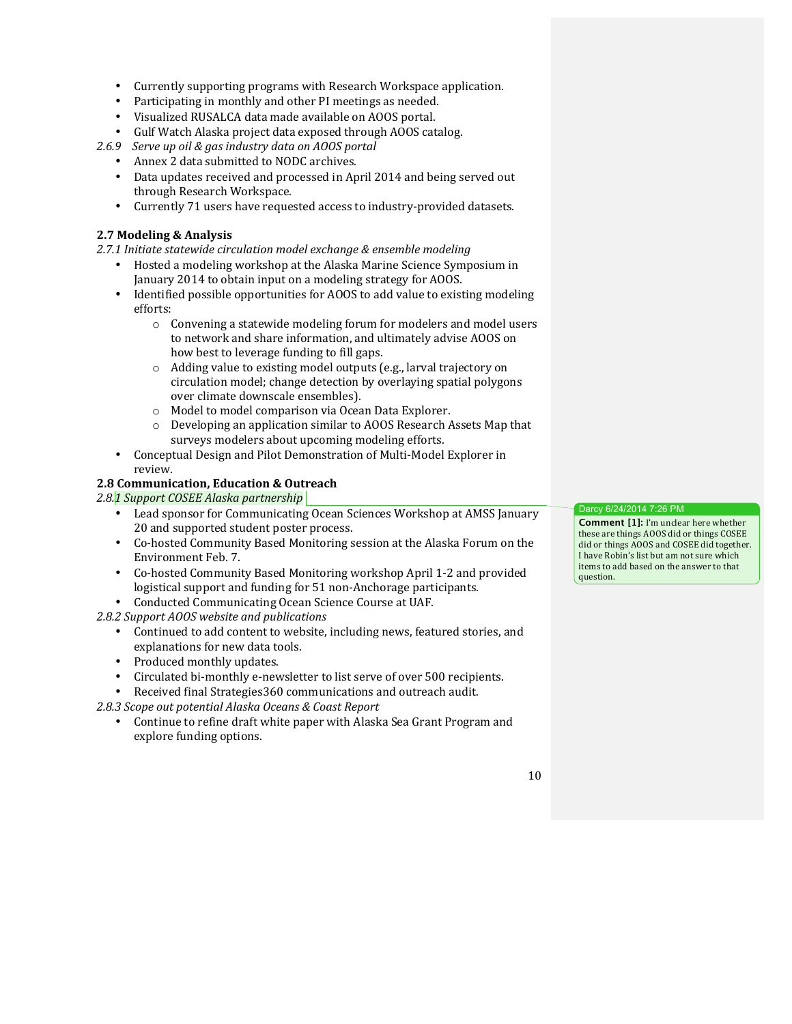- Currently supporting programs with Research Workspace application.
- Participating in monthly and other PI meetings as needed.
- Visualized RUSALCA data made available on AOOS portal.
- Gulf Watch Alaska project data exposed through AOOS catalog.
- *2.6.9 Serve up oil & gas industry data on AOOS portal*
	- Annex 2 data submitted to NODC archives.
		- Data updates received and processed in April 2014 and being served out through Research Workspace.
		- Currently 71 users have requested access to industry-provided datasets.

### **2.7 Modeling & Analysis**

2.7.1 Initiate statewide circulation model exchange & ensemble modeling

- Hosted a modeling workshop at the Alaska Marine Science Symposium in January 2014 to obtain input on a modeling strategy for AOOS.
- Identified possible opportunities for AOOS to add value to existing modeling efforts:
	- $\circ$  Convening a statewide modeling forum for modelers and model users to network and share information, and ultimately advise AOOS on how best to leverage funding to fill gaps.
	- $\circ$  Adding value to existing model outputs (e.g., larval trajectory on circulation model; change detection by overlaying spatial polygons over climate downscale ensembles).
	- o Model to model comparison via Ocean Data Explorer.
	- $\circ$  Developing an application similar to AOOS Research Assets Map that surveys modelers about upcoming modeling efforts.
- Conceptual Design and Pilot Demonstration of Multi-Model Explorer in review.

## **2.8 Communication, Education & Outreach**

2.8.1 Support COSEE Alaska partnership

- Lead sponsor for Communicating Ocean Sciences Workshop at AMSS January 20 and supported student poster process.
- Co-hosted Community Based Monitoring session at the Alaska Forum on the Environment Feb. 7.
- Co-hosted Community Based Monitoring workshop April 1-2 and provided logistical support and funding for 51 non-Anchorage participants.
- Conducted Communicating Ocean Science Course at UAF.

2.8.2 Support AOOS website and publications

- Continued to add content to website, including news, featured stories, and explanations for new data tools.
- Produced monthly updates.
- Circulated bi-monthly e-newsletter to list serve of over 500 recipients.
- Received final Strategies 360 communications and outreach audit.

*2.8.3 Scope out potential Alaska Oceans & Coast Report*

Continue to refine draft white paper with Alaska Sea Grant Program and explore funding options.

Darcy 6/24/2014 7:26 PM

**Comment [1]:** I'm unclear here whether these are things AOOS did or things COSEE did or things AOOS and COSEE did together. I have Robin's list but am not sure which items to add based on the answer to that question.

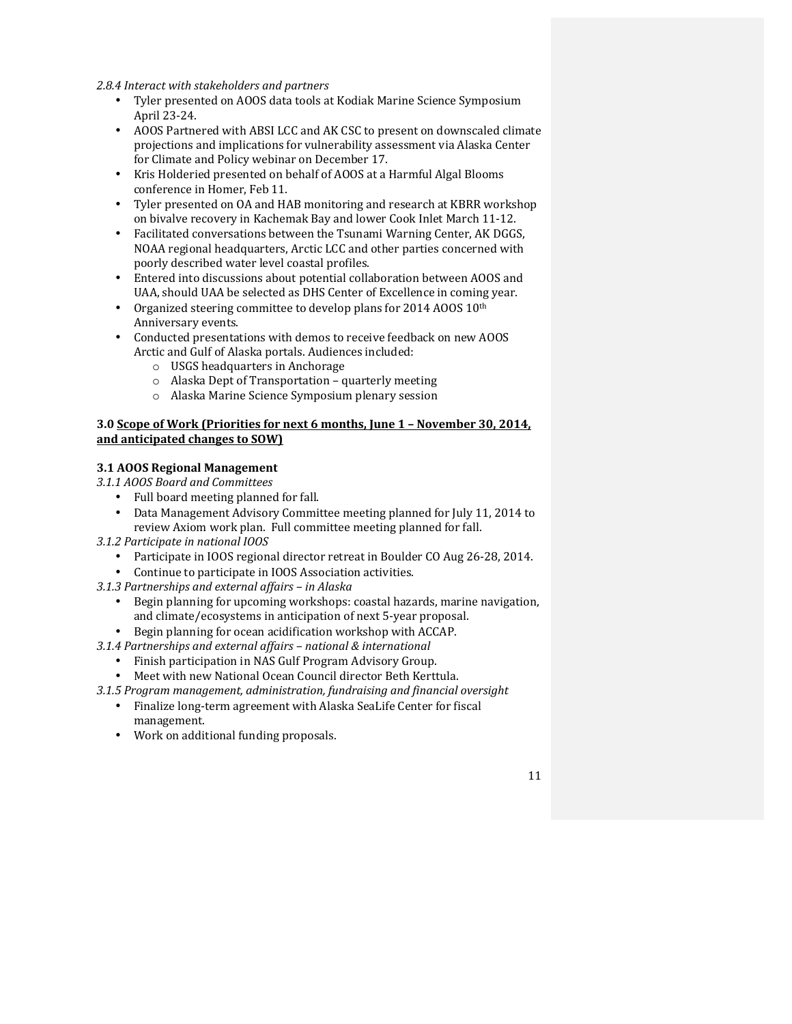2.8.4 Interact with stakeholders and partners

- Tyler presented on AOOS data tools at Kodiak Marine Science Symposium April 23-24.
- AOOS Partnered with ABSI LCC and AK CSC to present on downscaled climate projections and implications for vulnerability assessment via Alaska Center for Climate and Policy webinar on December 17.
- Kris Holderied presented on behalf of AOOS at a Harmful Algal Blooms conference in Homer, Feb 11.
- Tyler presented on OA and HAB monitoring and research at KBRR workshop on bivalve recovery in Kachemak Bay and lower Cook Inlet March 11-12.
- Facilitated conversations between the Tsunami Warning Center, AK DGGS, NOAA regional headquarters, Arctic LCC and other parties concerned with poorly described water level coastal profiles.
- Entered into discussions about potential collaboration between AOOS and UAA, should UAA be selected as DHS Center of Excellence in coming year.
- Organized steering committee to develop plans for 2014 AOOS  $10<sup>th</sup>$ Anniversary events.
- Conducted presentations with demos to receive feedback on new AOOS Arctic and Gulf of Alaska portals. Audiences included:
	- $\circ$  USGS headquarters in Anchorage
	- $\circ$  Alaska Dept of Transportation quarterly meeting
	- o Alaska Marine Science Symposium plenary session

### **3.0 Scope of Work (Priorities for next 6 months, June 1 - November 30, 2014,** and anticipated changes to SOW)

### **3.1 AOOS Regional Management**

- *3.1.1 AOOS Board and Committees*
	- Full board meeting planned for fall.
	- Data Management Advisory Committee meeting planned for July 11, 2014 to review Axiom work plan. Full committee meeting planned for fall.
- *3.1.2 Participate in national IOOS*
	- Participate in IOOS regional director retreat in Boulder CO Aug 26-28, 2014.
	- Continue to participate in IOOS Association activities.
- *3.1.3 Partnerships and external affairs – in Alaska*
	- Begin planning for upcoming workshops: coastal hazards, marine navigation, and climate/ecosystems in anticipation of next 5-year proposal.
	- Begin planning for ocean acidification workshop with ACCAP.

*3.1.4 Partnerships and external affairs – national & international*

- Finish participation in NAS Gulf Program Advisory Group.
- Meet with new National Ocean Council director Beth Kerttula.
- *3.1.5 Program management, administration, fundraising and financial oversight*
	- Finalize long-term agreement with Alaska SeaLife Center for fiscal management.
	- Work on additional funding proposals.

11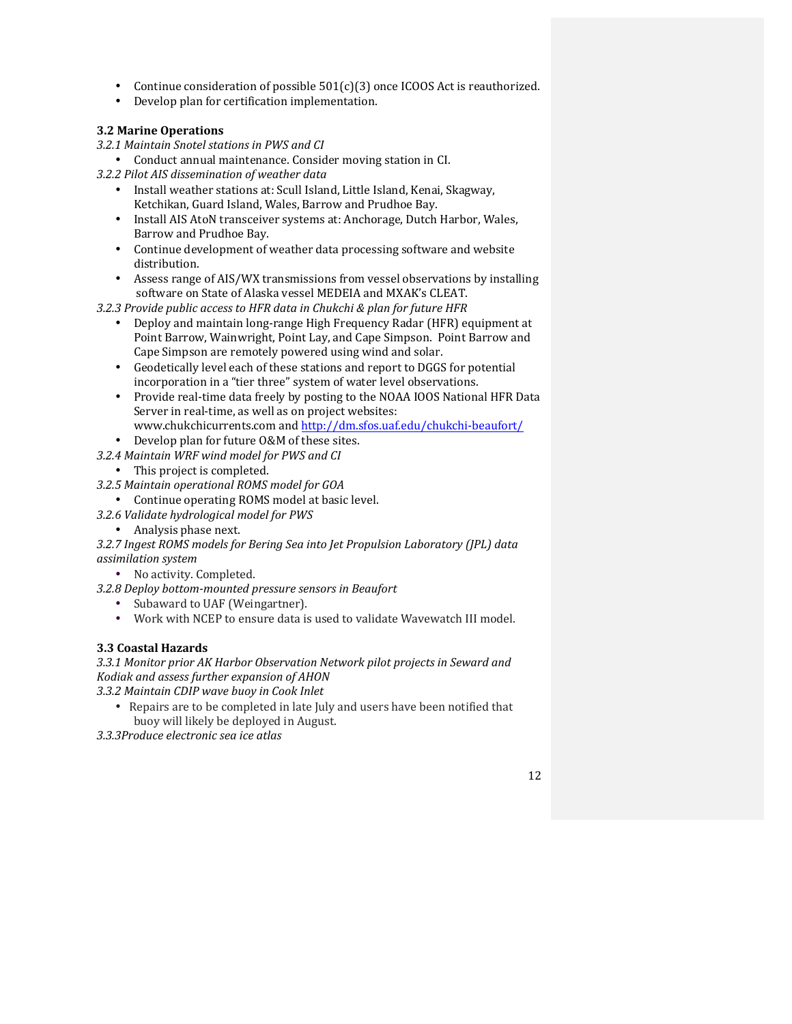- Continue consideration of possible  $501(c)(3)$  once ICOOS Act is reauthorized.
- Develop plan for certification implementation.

## **3.2 Marine Operations**

- *3.2.1 Maintain Snotel stations in PWS and CI*
	- Conduct annual maintenance. Consider moving station in CI.
- *3.2.2 Pilot AIS dissemination of weather data*
	- Install weather stations at: Scull Island, Little Island, Kenai, Skagway, Ketchikan, Guard Island, Wales, Barrow and Prudhoe Bay.
	- Install AIS AtoN transceiver systems at: Anchorage, Dutch Harbor, Wales, Barrow and Prudhoe Bay.
	- Continue development of weather data processing software and website distribution.
	- Assess range of AIS/WX transmissions from vessel observations by installing software on State of Alaska vessel MEDEIA and MXAK's CLEAT.
- *3.2.3 Provide public access to HFR data in Chukchi & plan for future HFR*
	- Deploy and maintain long-range High Frequency Radar (HFR) equipment at Point Barrow, Wainwright, Point Lay, and Cape Simpson. Point Barrow and Cape Simpson are remotely powered using wind and solar.
	- Geodetically level each of these stations and report to DGGS for potential incorporation in a "tier three" system of water level observations.
	- Provide real-time data freely by posting to the NOAA IOOS National HFR Data Server in real-time, as well as on project websites: www.chukchicurrents.com and http://dm.sfos.uaf.edu/chukchi-beaufort/
	-
	- Develop plan for future O&M of these sites.
- *3.2.4 Maintain WRF wind model for PWS and CI*
	- This project is completed.
- *3.2.5 Maintain operational ROMS model for GOA*
	- Continue operating ROMS model at basic level.
- *3.2.6 Validate hydrological model for PWS*
	- Analysis phase next.

*3.2.7 Ingest ROMS models for Bering Sea into Jet Propulsion Laboratory (JPL) data assimilation system*

- No activity. Completed.
- *3.2.8 Deploy bottom-mounted pressure sensors in Beaufort*
	- Subaward to UAF (Weingartner).
	- Work with NCEP to ensure data is used to validate Wavewatch III model.

## **3.3 Coastal Hazards**

3.3.1 Monitor prior AK Harbor Observation Network pilot projects in Seward and *Kodiak and assess further expansion of AHON*

*3.3.2 Maintain CDIP wave buoy in Cook Inlet*

• Repairs are to be completed in late July and users have been notified that buoy will likely be deployed in August.

*3.3.3Produce electronic sea ice atlas*

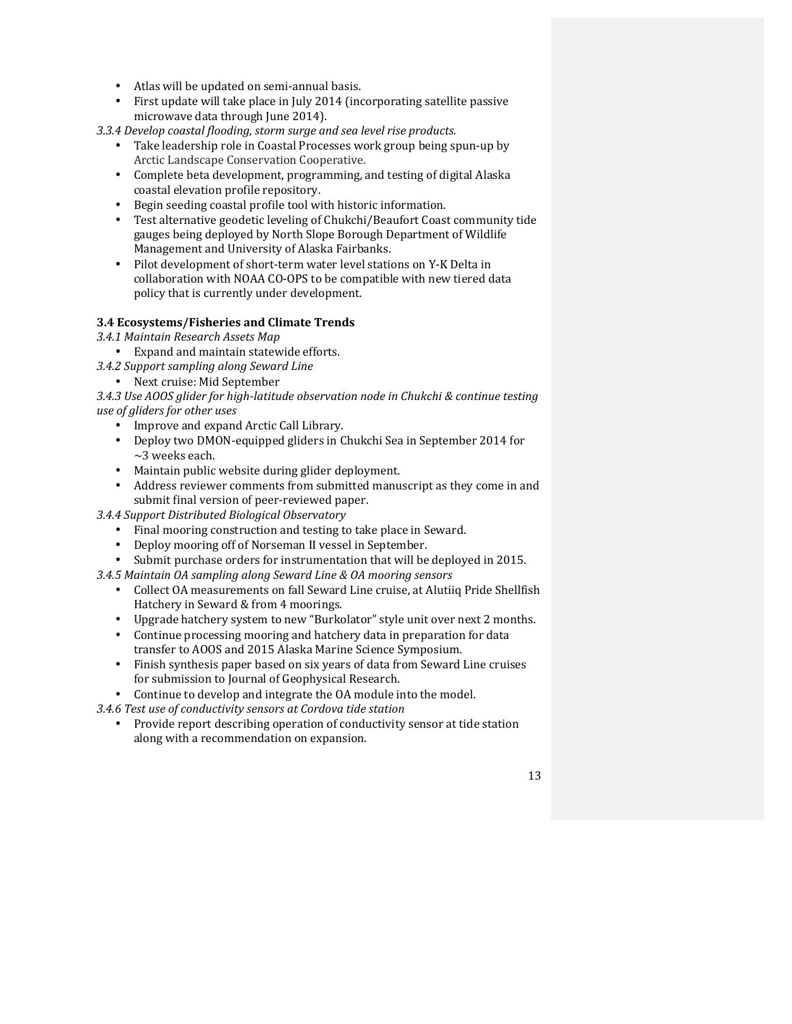- Atlas will be updated on semi-annual basis.
- First update will take place in July 2014 (incorporating satellite passive microwave data through June 2014).

*3.3.4 Develop coastal flooding, storm surge and sea level rise products.*

- Take leadership role in Coastal Processes work group being spun-up by Arctic Landscape Conservation Cooperative.
- Complete beta development, programming, and testing of digital Alaska coastal elevation profile repository.
- Begin seeding coastal profile tool with historic information.
- Test alternative geodetic leveling of Chukchi/Beaufort Coast community tide gauges being deployed by North Slope Borough Department of Wildlife Management and University of Alaska Fairbanks.
- Pilot development of short-term water level stations on Y-K Delta in collaboration with NOAA CO-OPS to be compatible with new tiered data policy that is currently under development.

### **3.4 Ecosystems/Fisheries and Climate Trends**

*3.4.1 Maintain Research Assets Map*

- Expand and maintain statewide efforts.
- *3.4.2 Support sampling along Seward Line*
	- Next cruise: Mid September

3.4.3 Use AOOS glider for high-latitude observation node in Chukchi & continue testing *use of gliders for other uses*

- Improve and expand Arctic Call Library.
- Deploy two DMON-equipped gliders in Chukchi Sea in September 2014 for  $\sim$ 3 weeks each.
- Maintain public website during glider deployment.
- Address reviewer comments from submitted manuscript as they come in and submit final version of peer-reviewed paper.

*3.4.4 Support Distributed Biological Observatory*

- Final mooring construction and testing to take place in Seward.
- Deploy mooring off of Norseman II vessel in September.
- Submit purchase orders for instrumentation that will be deployed in 2015.

*3.4.5 Maintain OA sampling along Seward Line & OA mooring sensors*

- Collect OA measurements on fall Seward Line cruise, at Alutiiq Pride Shellfish Hatchery in Seward & from 4 moorings.
- Upgrade hatchery system to new "Burkolator" style unit over next 2 months.
- Continue processing mooring and hatchery data in preparation for data transfer to AOOS and 2015 Alaska Marine Science Symposium.
- Finish synthesis paper based on six years of data from Seward Line cruises for submission to Journal of Geophysical Research.
- Continue to develop and integrate the OA module into the model.

*3.4.6 Test use of conductivity sensors at Cordova tide station*

Provide report describing operation of conductivity sensor at tide station along with a recommendation on expansion.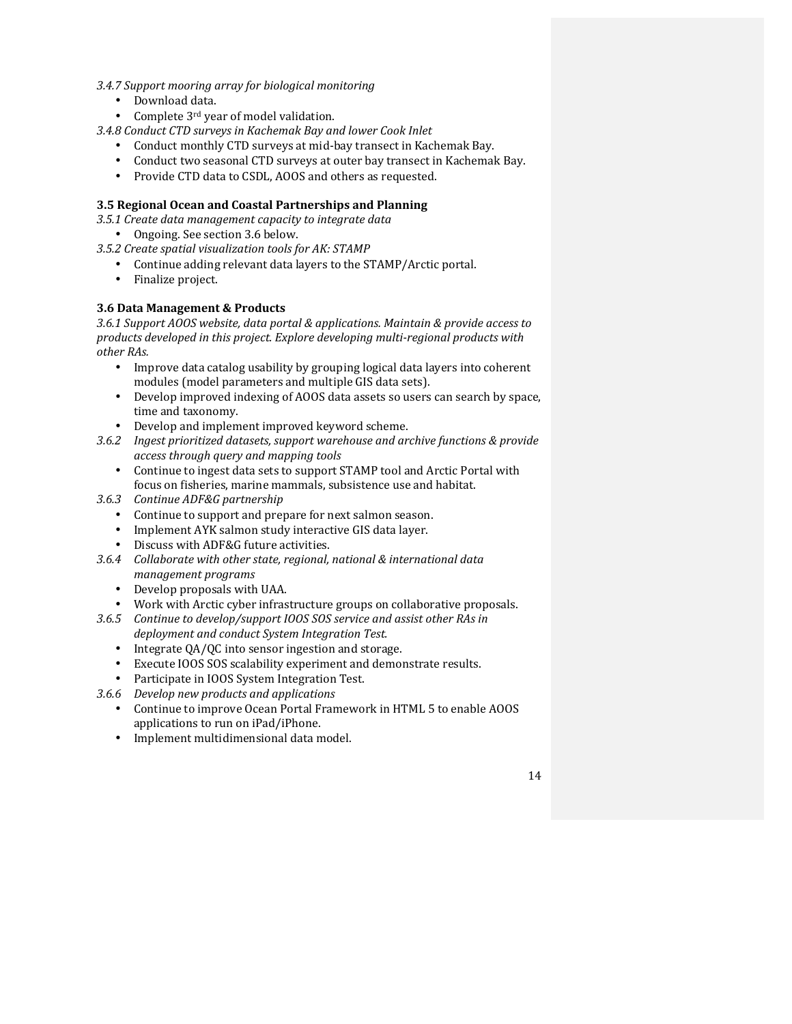- *3.4.7 Support mooring array for biological monitoring*
	- Download data.
	- Complete  $3<sup>rd</sup>$  year of model validation.
- *3.4.8 Conduct CTD surveys in Kachemak Bay and lower Cook Inlet*
	- Conduct monthly CTD surveys at mid-bay transect in Kachemak Bay.
	- Conduct two seasonal CTD surveys at outer bay transect in Kachemak Bay.
	- Provide CTD data to CSDL, AOOS and others as requested.

## **3.5 Regional Ocean and Coastal Partnerships and Planning**

- *3.5.1 Create data management capacity to integrate data*
	- Ongoing. See section 3.6 below.
- 3.5.2 Create spatial visualization tools for AK: STAMP
	- Continue adding relevant data layers to the STAMP/Arctic portal.<br>• Finalize project
	- Finalize project.

## **3.6 Data Management & Products**

3.6.1 Support AOOS website, data portal & applications. Maintain & provide access to *products developed in this project. Explore developing multi-regional products with other RAs.*

- Improve data catalog usability by grouping logical data layers into coherent modules (model parameters and multiple GIS data sets).
- Develop improved indexing of AOOS data assets so users can search by space, time and taxonomy.
- Develop and implement improved keyword scheme.
- 3.6.2 Ingest prioritized datasets, support warehouse and archive functions & provide *access through query and mapping tools*
	- Continue to ingest data sets to support STAMP tool and Arctic Portal with focus on fisheries, marine mammals, subsistence use and habitat.
- *3.6.3 Continue ADF&G partnership*
	- Continue to support and prepare for next salmon season.
	- Implement AYK salmon study interactive GIS data layer.
	- Discuss with ADF&G future activities.
- 3.6.4 Collaborate with other state, regional, national & international data *management programs*
	- Develop proposals with UAA.
	- Work with Arctic cyber infrastructure groups on collaborative proposals.
- 3.6.5 Continue to develop/support IOOS SOS service and assist other RAs in *deployment and conduct System Integration Test.*
	- Integrate QA/QC into sensor ingestion and storage.
	- Execute IOOS SOS scalability experiment and demonstrate results.
	- Participate in IOOS System Integration Test.
- *3.6.6 Develop new products and applications* 
	- Continue to improve Ocean Portal Framework in HTML 5 to enable AOOS applications to run on iPad/iPhone.
	- Implement multidimensional data model.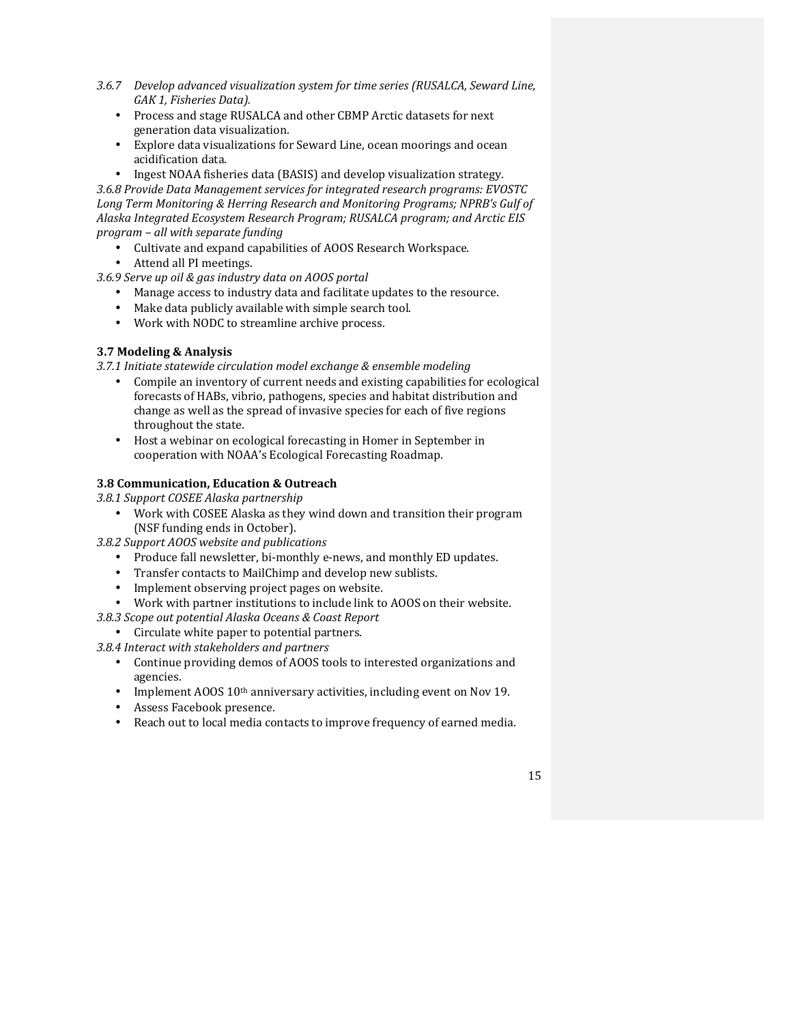- 3.6.7 *Develop advanced visualization system for time series (RUSALCA, Seward Line,* GAK 1, Fisheries Data).
	- Process and stage RUSALCA and other CBMP Arctic datasets for next generation data visualization.
	- Explore data visualizations for Seward Line, ocean moorings and ocean acidification data.
- Ingest NOAA fisheries data (BASIS) and develop visualization strategy. 3.6.8 Provide Data Management services for integrated research programs: EVOSTC

Long Term Monitoring & Herring Research and Monitoring Programs; NPRB's Gulf of Alaska Integrated Ecosystem Research Program; RUSALCA program; and Arctic EIS *program – all with separate funding*

- Cultivate and expand capabilities of AOOS Research Workspace.
- Attend all PI meetings.

*3.6.9 Serve up oil & gas industry data on AOOS portal*

- Manage access to industry data and facilitate updates to the resource.
- Make data publicly available with simple search tool.
- Work with NODC to streamline archive process.

## **3.7 Modeling & Analysis**

*3.7.1 Initiate statewide circulation model exchange & ensemble modeling*

- Compile an inventory of current needs and existing capabilities for ecological forecasts of HABs, vibrio, pathogens, species and habitat distribution and change as well as the spread of invasive species for each of five regions throughout the state.
- Host a webinar on ecological forecasting in Homer in September in cooperation with NOAA's Ecological Forecasting Roadmap.

## **3.8 Communication, Education & Outreach**

*3.8.1 Support COSEE Alaska partnership*

- Work with COSEE Alaska as they wind down and transition their program (NSF funding ends in October).
- *3.8.2 Support AOOS website and publications*
	- Produce fall newsletter, bi-monthly e-news, and monthly ED updates.
	- Transfer contacts to MailChimp and develop new sublists.
	- Implement observing project pages on website.
	- Work with partner institutions to include link to AOOS on their website.
- *3.8.3 Scope out potential Alaska Oceans & Coast Report*
- Circulate white paper to potential partners.
- *3.8.4 Interact with stakeholders and partners*
	- Continue providing demos of AOOS tools to interested organizations and agencies.
	- Implement AOOS  $10<sup>th</sup>$  anniversary activities, including event on Nov 19.
	- Assess Facebook presence.
	- Reach out to local media contacts to improve frequency of earned media.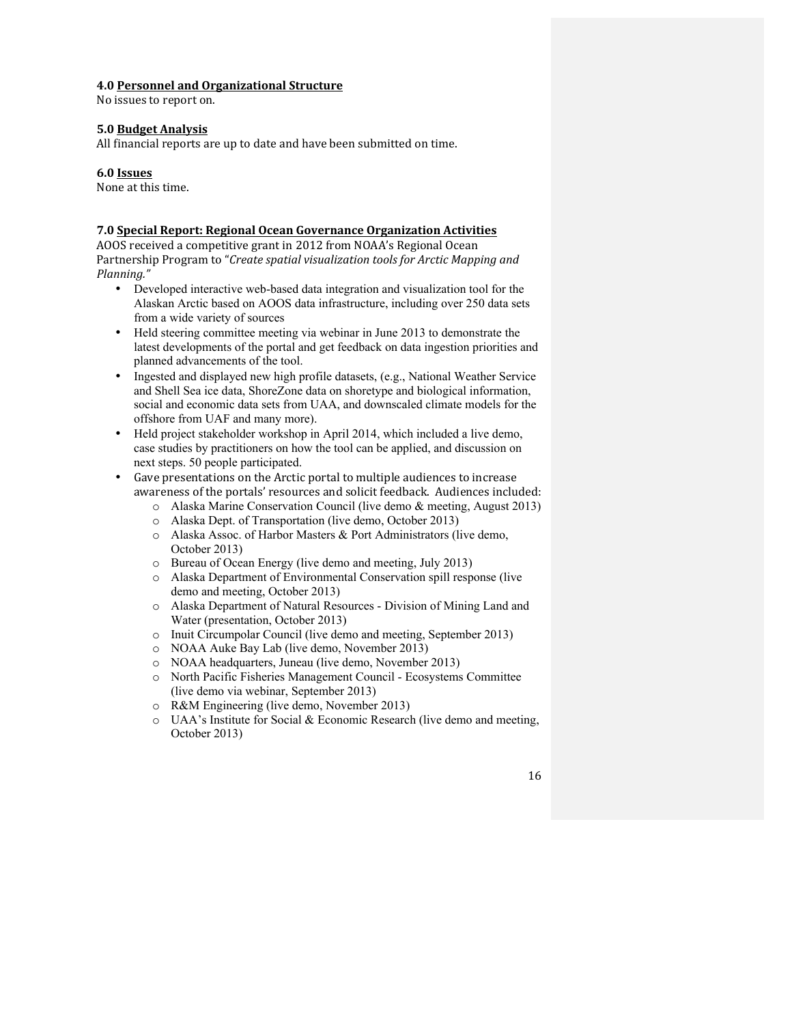#### **4.0 Personnel and Organizational Structure**

No issues to report on.

#### **5.0 Budget Analysis**

All financial reports are up to date and have been submitted on time.

#### **6.0 Issues**

None at this time.

#### **7.0 Special Report: Regional Ocean Governance Organization Activities**

AOOS received a competitive grant in 2012 from NOAA's Regional Ocean Partnership Program to "*Create spatial visualization tools for Arctic Mapping and Planning."* 

- Developed interactive web-based data integration and visualization tool for the Alaskan Arctic based on AOOS data infrastructure, including over 250 data sets from a wide variety of sources
- Held steering committee meeting via webinar in June 2013 to demonstrate the latest developments of the portal and get feedback on data ingestion priorities and planned advancements of the tool.
- Ingested and displayed new high profile datasets, (e.g., National Weather Service and Shell Sea ice data, ShoreZone data on shoretype and biological information, social and economic data sets from UAA, and downscaled climate models for the offshore from UAF and many more).
- Held project stakeholder workshop in April 2014, which included a live demo, case studies by practitioners on how the tool can be applied, and discussion on next steps. 50 people participated.
- Gave presentations on the Arctic portal to multiple audiences to increase awareness of the portals' resources and solicit feedback. Audiences included:
	- o Alaska Marine Conservation Council (live demo & meeting, August 2013)
	- o Alaska Dept. of Transportation (live demo, October 2013)
	- o Alaska Assoc. of Harbor Masters & Port Administrators (live demo, October 2013)
	- o Bureau of Ocean Energy (live demo and meeting, July 2013)
	- o Alaska Department of Environmental Conservation spill response (live demo and meeting, October 2013)
	- o Alaska Department of Natural Resources Division of Mining Land and Water (presentation, October 2013)
	- o Inuit Circumpolar Council (live demo and meeting, September 2013)
	- o NOAA Auke Bay Lab (live demo, November 2013)
	- o NOAA headquarters, Juneau (live demo, November 2013)
	- o North Pacific Fisheries Management Council Ecosystems Committee (live demo via webinar, September 2013)
	- o R&M Engineering (live demo, November 2013)
	- $\circ$  UAA's Institute for Social & Economic Research (live demo and meeting, October 2013)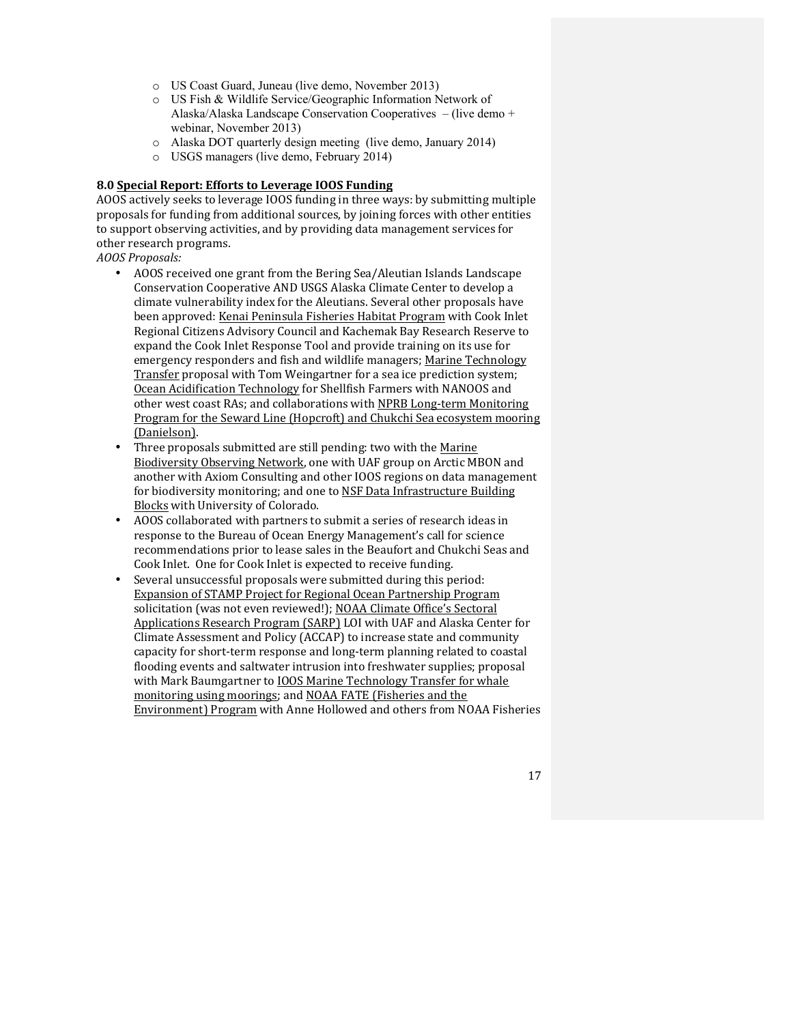- o US Coast Guard, Juneau (live demo, November 2013)
- o US Fish & Wildlife Service/Geographic Information Network of Alaska/Alaska Landscape Conservation Cooperatives – (live demo + webinar, November 2013)
- o Alaska DOT quarterly design meeting (live demo, January 2014)
- o USGS managers (live demo, February 2014)

### **8.0 Special Report: Efforts to Leverage IOOS Funding**

AOOS actively seeks to leverage IOOS funding in three ways: by submitting multiple proposals for funding from additional sources, by joining forces with other entities to support observing activities, and by providing data management services for other research programs.

*AOOS Proposals:*

- AOOS received one grant from the Bering Sea/Aleutian Islands Landscape Conservation Cooperative AND USGS Alaska Climate Center to develop a climate vulnerability index for the Aleutians. Several other proposals have been approved: Kenai Peninsula Fisheries Habitat Program with Cook Inlet Regional Citizens Advisory Council and Kachemak Bay Research Reserve to expand the Cook Inlet Response Tool and provide training on its use for emergency responders and fish and wildlife managers; Marine Technology Transfer proposal with Tom Weingartner for a sea ice prediction system; Ocean Acidification Technology for Shellfish Farmers with NANOOS and other west coast RAs; and collaborations with NPRB Long-term Monitoring Program for the Seward Line (Hopcroft) and Chukchi Sea ecosystem mooring (Danielson).
- Three proposals submitted are still pending: two with the Marine Biodiversity Observing Network, one with UAF group on Arctic MBON and another with Axiom Consulting and other IOOS regions on data management for biodiversity monitoring; and one to NSF Data Infrastructure Building Blocks with University of Colorado.
- AOOS collaborated with partners to submit a series of research ideas in response to the Bureau of Ocean Energy Management's call for science recommendations prior to lease sales in the Beaufort and Chukchi Seas and Cook Inlet. One for Cook Inlet is expected to receive funding.
- Several unsuccessful proposals were submitted during this period: Expansion of STAMP Project for Regional Ocean Partnership Program solicitation (was not even reviewed!); NOAA Climate Office's Sectoral Applications Research Program (SARP) LOI with UAF and Alaska Center for Climate Assessment and Policy (ACCAP) to increase state and community capacity for short-term response and long-term planning related to coastal flooding events and saltwater intrusion into freshwater supplies; proposal with Mark Baumgartner to **IOOS Marine Technology Transfer for whale** monitoring using moorings; and NOAA FATE (Fisheries and the Environment) Program with Anne Hollowed and others from NOAA Fisheries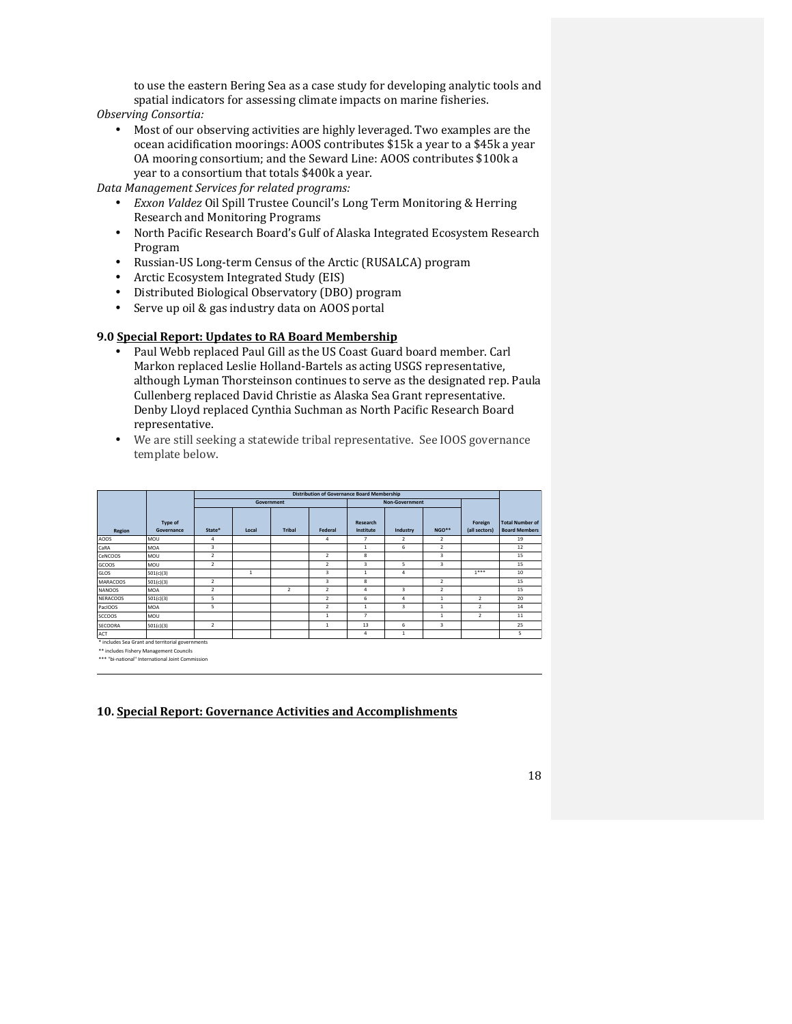to use the eastern Bering Sea as a case study for developing analytic tools and spatial indicators for assessing climate impacts on marine fisheries.

- *Observing Consortia:*
	- Most of our observing activities are highly leveraged. Two examples are the ocean acidification moorings: AOOS contributes \$15k a year to a \$45k a year OA mooring consortium; and the Seward Line: AOOS contributes \$100k a year to a consortium that totals \$400k a year.

*Data Management Services for related programs:*

- *Exxon Valdez* Oil Spill Trustee Council's Long Term Monitoring & Herring Research and Monitoring Programs
- North Pacific Research Board's Gulf of Alaska Integrated Ecosystem Research Program
- Russian-US Long-term Census of the Arctic (RUSALCA) program
- Arctic Ecosystem Integrated Study (EIS)
- Distributed Biological Observatory (DBO) program
- Serve up oil & gas industry data on AOOS portal

### **9.0 Special Report: Updates to RA Board Membership**

- Paul Webb replaced Paul Gill as the US Coast Guard board member. Carl Markon replaced Leslie Holland-Bartels as acting USGS representative, although Lyman Thorsteinson continues to serve as the designated rep. Paula Cullenberg replaced David Christie as Alaska Sea Grant representative. Denby Lloyd replaced Cynthia Suchman as North Pacific Research Board representative.
- We are still seeking a statewide tribal representative. See IOOS governance template below.

|                 |                       | <b>Distribution of Governance Board Membership</b> |              |                |                          |                              |                         |                         |                          |                                                |
|-----------------|-----------------------|----------------------------------------------------|--------------|----------------|--------------------------|------------------------------|-------------------------|-------------------------|--------------------------|------------------------------------------------|
|                 |                       |                                                    | Government   |                |                          |                              | Non-Government          |                         |                          |                                                |
| Region          | Type of<br>Governance | State*                                             | Local        | <b>Tribal</b>  | Federal                  | <b>Research</b><br>Institute | Industry                | NGO**                   | Foreign<br>(all sectors) | <b>Total Number of</b><br><b>Board Members</b> |
| AOOS            | MOU                   | 4                                                  |              |                | 4                        | 7                            | $\overline{2}$          | 2                       |                          | 19                                             |
| CaRA            | <b>MOA</b>            | $\overline{3}$                                     |              |                |                          | $\mathbf{1}$                 | 6                       | $\overline{2}$          |                          | 12                                             |
| CeNCOOS         | MOU                   | $\overline{2}$                                     |              |                | $\overline{2}$           | 8                            |                         | $\overline{\mathbf{3}}$ |                          | 15                                             |
| GCOOS           | MOU                   | $\overline{2}$                                     |              |                | $\overline{2}$           | $\overline{3}$               | 5                       | $\overline{\mathbf{3}}$ |                          | 15                                             |
| l GLOS          | 501(c)(3)             |                                                    | $\mathbf{1}$ |                | $\overline{\mathbf{3}}$  | $\mathbf{1}$                 | 4                       |                         | $1***$                   | 10                                             |
| <b>MARACOOS</b> | 501(c)(3)             | $\overline{2}$                                     |              |                | 3                        | 8                            |                         | $\overline{2}$          |                          | 15                                             |
| <b>NANOOS</b>   | <b>MOA</b>            | $\overline{2}$                                     |              | $\overline{2}$ | $\overline{2}$           | $\overline{a}$               | $\overline{\mathbf{3}}$ | $\overline{2}$          |                          | 15                                             |
| NERACOOS        | 501(c)(3)             | 5                                                  |              |                | $\overline{\phantom{a}}$ | 6                            | $\overline{a}$          | $\mathbf{1}$            | $\overline{2}$           | 20                                             |
| PacIOOS         | <b>MOA</b>            | 5                                                  |              |                | $\overline{\phantom{a}}$ | $\mathbf{1}$                 | $\overline{3}$          | $\mathbf{1}$            | $\overline{2}$           | 14                                             |
| <b>SCCOOS</b>   | MOU                   |                                                    |              |                | 1                        | $\overline{7}$               |                         | $\mathbf{1}$            | $\overline{2}$           | 11                                             |
| <b>SECOORA</b>  | 501(c)(3)             | $\overline{2}$                                     |              |                | $\mathbf{1}$             | 13                           | 6                       | $\overline{\mathbf{3}}$ |                          | 25                                             |
| <b>ACT</b><br>. | .                     |                                                    |              |                |                          | 4                            | $\mathbf{1}$            |                         |                          | 5                                              |

includes Sea Grant and territorial governments

\*\* includes Fishery Management Councils<br>\*\*\* "bi-national" International Joint Commission

## **10. Special Report: Governance Activities and Accomplishments**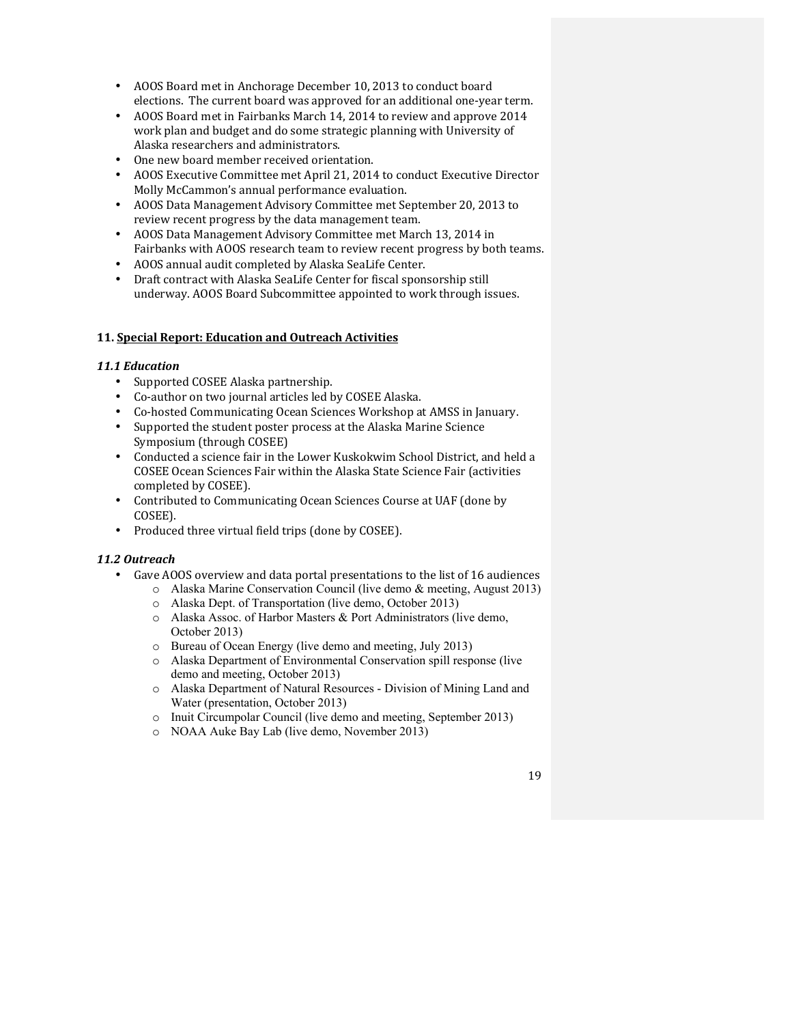- AOOS Board met in Anchorage December 10, 2013 to conduct board elections. The current board was approved for an additional one-year term.
- AOOS Board met in Fairbanks March 14, 2014 to review and approve 2014 work plan and budget and do some strategic planning with University of Alaska researchers and administrators.
- One new board member received orientation.
- AOOS Executive Committee met April 21, 2014 to conduct Executive Director Molly McCammon's annual performance evaluation.
- AOOS Data Management Advisory Committee met September 20, 2013 to review recent progress by the data management team.
- AOOS Data Management Advisory Committee met March 13, 2014 in Fairbanks with AOOS research team to review recent progress by both teams.
- AOOS annual audit completed by Alaska SeaLife Center.
- Draft contract with Alaska SeaLife Center for fiscal sponsorship still underway. AOOS Board Subcommittee appointed to work through issues.

### **11. Special Report: Education and Outreach Activities**

#### *11.1 Education*

- Supported COSEE Alaska partnership.
- Co-author on two journal articles led by COSEE Alaska.
- Co-hosted Communicating Ocean Sciences Workshop at AMSS in January.
- Supported the student poster process at the Alaska Marine Science Symposium (through COSEE)
- Conducted a science fair in the Lower Kuskokwim School District, and held a COSEE Ocean Sciences Fair within the Alaska State Science Fair (activities completed by COSEE).
- Contributed to Communicating Ocean Sciences Course at UAF (done by COSEE).
- Produced three virtual field trips (done by COSEE).

#### *11.2 Outreach*

- Gave AOOS overview and data portal presentations to the list of 16 audiences
	- o Alaska Marine Conservation Council (live demo & meeting, August 2013)
	- o Alaska Dept. of Transportation (live demo, October 2013)
	- o Alaska Assoc. of Harbor Masters & Port Administrators (live demo, October 2013)
	- o Bureau of Ocean Energy (live demo and meeting, July 2013)
	- o Alaska Department of Environmental Conservation spill response (live demo and meeting, October 2013)
	- o Alaska Department of Natural Resources Division of Mining Land and Water (presentation, October 2013)
	- o Inuit Circumpolar Council (live demo and meeting, September 2013)
	- o NOAA Auke Bay Lab (live demo, November 2013)